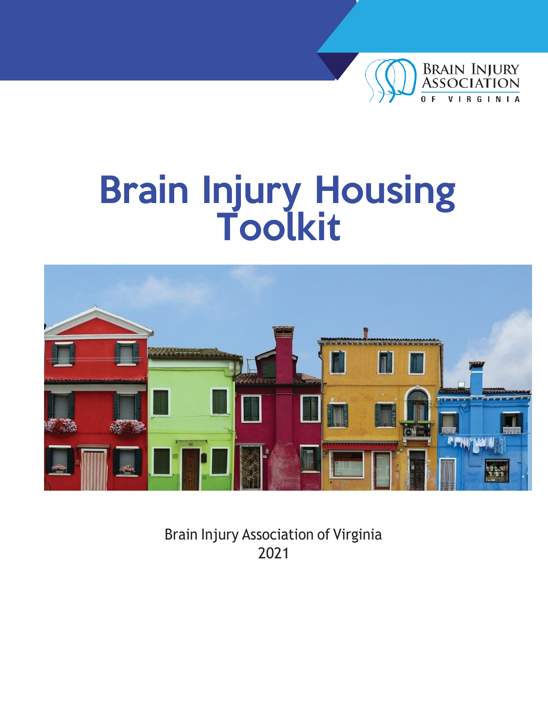

## Brain Injury Housing Toolkit



Brain Injury Association of Virginia 2021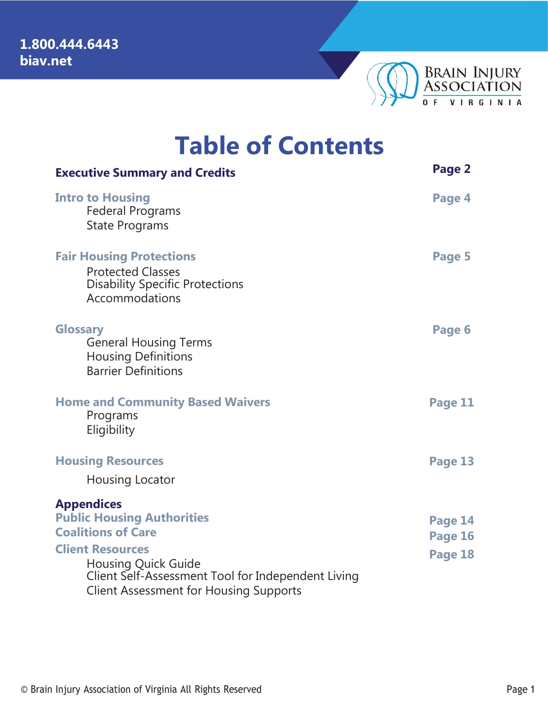

|  | <b>Table of Contents</b> |
|--|--------------------------|
|--|--------------------------|

| <b>Executive Summary and Credits</b>                                                                                                                         | Page 2  |
|--------------------------------------------------------------------------------------------------------------------------------------------------------------|---------|
| <b>Intro to Housing</b><br><b>Federal Programs</b><br><b>State Programs</b>                                                                                  | Page 4  |
| <b>Fair Housing Protections</b><br><b>Protected Classes</b><br><b>Disability Specific Protections</b><br>Accommodations                                      | Page 5  |
| <b>Glossary</b><br><b>General Housing Terms</b><br><b>Housing Definitions</b><br><b>Barrier Definitions</b>                                                  | Page 6  |
| <b>Home and Community Based Waivers</b><br>Programs<br>Eligibility                                                                                           | Page 11 |
| <b>Housing Resources</b><br>Housing Locator                                                                                                                  | Page 13 |
| <b>Appendices</b>                                                                                                                                            |         |
| <b>Public Housing Authorities</b>                                                                                                                            | Page 14 |
| <b>Coalitions of Care</b>                                                                                                                                    | Page 16 |
| <b>Client Resources</b><br><b>Housing Quick Guide</b><br>Client Self-Assessment Tool for Independent Living<br><b>Client Assessment for Housing Supports</b> | Page 18 |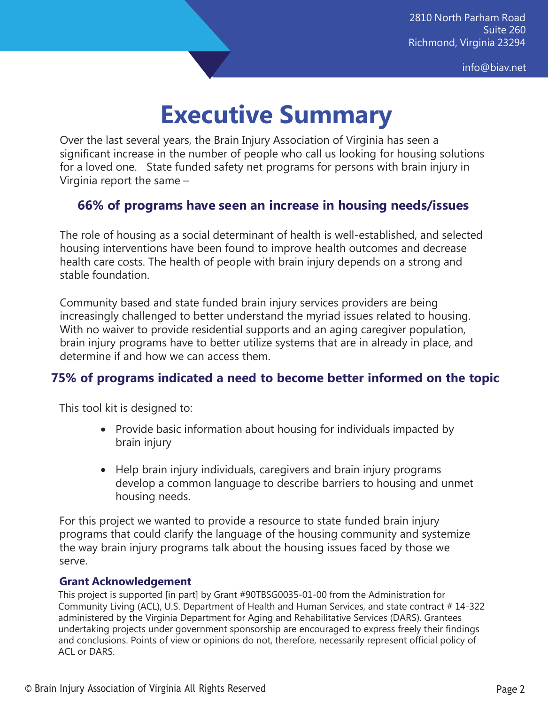[info@biav.net](mailto:info@biav.net)

## **Executive Summary**

Over the last several years, the Brain Injury Association of Virginia has seen a significant increase in the number of people who call us looking for housing solutions for a loved one. State funded safety net programs for persons with brain injury in Virginia report the same –

#### **66% of programs have seen an increase in housing needs/issues**

The role of housing as a social determinant of health is well-established, and selected housing interventions have been found to improve health outcomes and decrease health care costs. The health of people with brain injury depends on a strong and stable foundation.

Community based and state funded brain injury services providers are being increasingly challenged to better understand the myriad issues related to housing. With no waiver to provide residential supports and an aging caregiver population, brain injury programs have to better utilize systems that are in already in place, and determine if and how we can access them.

#### **75% of programs indicated a need to become better informed on the topic**

This tool kit is designed to:

- Provide basic information about housing for individuals impacted by brain injury
- Help brain injury individuals, caregivers and brain injury programs develop a common language to describe barriers to housing and unmet housing needs.

For this project we wanted to provide a resource to state funded brain injury programs that could clarify the language of the housing community and systemize the way brain injury programs talk about the housing issues faced by those we serve.

#### **Grant Acknowledgement**

This project is supported [in part] by Grant #90TBSG0035-01-00 from the Administration for Community Living (ACL), U.S. Department of Health and Human Services, and state contract # 14-322 administered by the Virginia Department for Aging and Rehabilitative Services (DARS). Grantees undertaking projects under government sponsorship are encouraged to express freely their findings and conclusions. Points of view or opinions do not, therefore, necessarily represent official policy of ACL or DARS.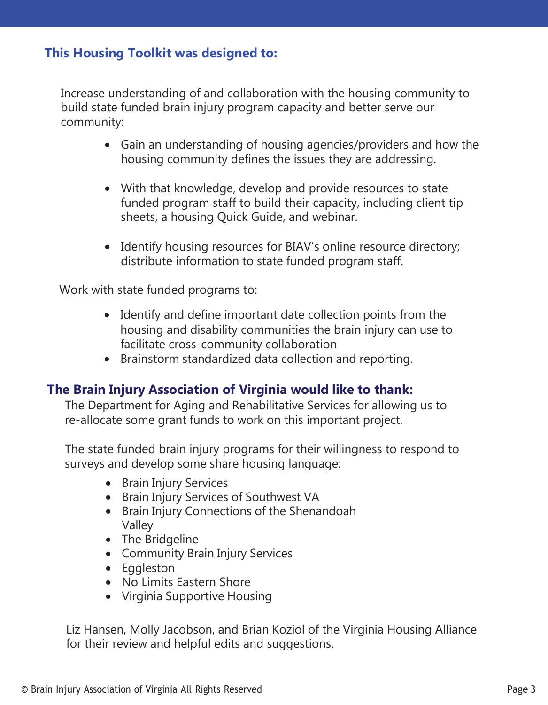#### **This Housing Toolkit was designed to:**

Increase understanding of and collaboration with the housing community to build state funded brain injury program capacity and better serve our community:

- Gain an understanding of housing agencies/providers and how the housing community defines the issues they are addressing.
- With that knowledge, develop and provide resources to state funded program staff to build their capacity, including client tip sheets, a housing Quick Guide, and webinar.
- Identify housing resources for BIAV's online resource directory; distribute information to state funded program staff.

Work with state funded programs to:

- Identify and define important date collection points from the housing and disability communities the brain injury can use to facilitate cross-community collaboration
- Brainstorm standardized data collection and reporting.

#### **The Brain Injury Association of Virginia would like to thank:**

The Department for Aging and Rehabilitative Services for allowing us to re-allocate some grant funds to work on this important project.

The state funded brain injury programs for their willingness to respond to surveys and develop some share housing language:

- Brain Injury Services
- Brain Injury Services of Southwest VA
- Brain Injury Connections of the Shenandoah Valley
- The Bridgeline
- Community Brain Injury Services
- Eggleston
- No Limits Eastern Shore
- Virginia Supportive Housing

Liz Hansen, Molly Jacobson, and Brian Koziol of the Virginia Housing Alliance for their review and helpful edits and suggestions.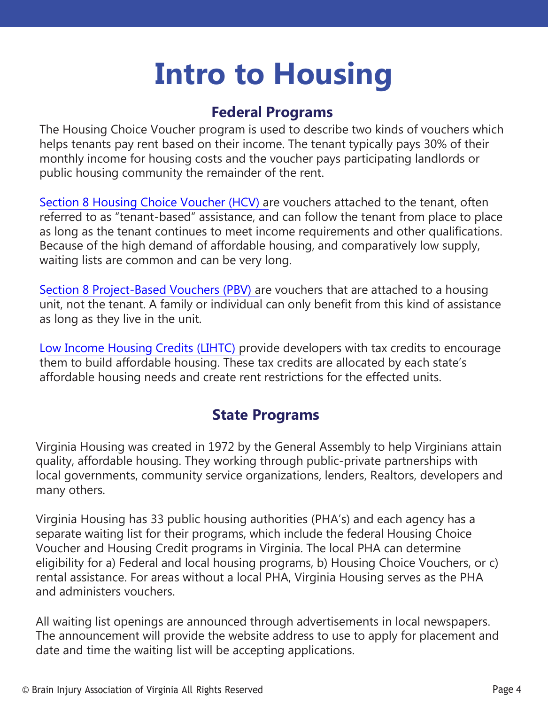## **Intro to Housing**

### **Federal Programs**

The Housing Choice Voucher program is used to describe two kinds of vouchers which helps tenants pay rent based on their income. The tenant typically pays 30% of their monthly income for housing costs and the voucher pays participating landlords or public housing community the remainder of the rent.

Section 8 Housing [Choice Voucher](https://www.cbpp.org/research/housing/the-housing-choice-voucher-program) (HCV) are vouchers attached to the tenant, often referred to as "tenant-based" assistance, and can follow the tenant from place to place as long as the tenant continues to meet income requirements and other qualifications. Because of the high demand of affordable housing, and comparatively low supply, waiting lists are common and can be very long.

S[ection 8 Project-Based Vouchers](https://www.cbpp.org/research/housing/project-based-vouchers) (PBV) are vouchers that are attached to a housing unit, not the tenant. A family or individual can only benefit from this kind of assistance as long as they live in the unit.

Low [Income Housing](https://www.nhlp.org/resource-center/low-income-housing-tax-credits/) Credits (LIHTC) provide developers with tax credits to encourage them to build affordable housing. These tax credits are allocated by each state's affordable housing needs and create rent restrictions for the effected units.

### **State Programs**

Virginia Housing was created in 1972 by the General Assembly to help Virginians attain quality, affordable housing. They working through public-private partnerships with local governments, community service organizations, lenders, Realtors, developers and many others.

Virginia Housing has 33 public housing authorities (PHA's) and each agency has a separate waiting list for their programs, which include the federal Housing Choice Voucher and Housing Credit programs in Virginia. The local PHA can determine eligibility for a) Federal and local housing programs, b) Housing Choice Vouchers, or c) rental assistance. For areas without a local PHA, Virginia Housing serves as the PHA and administers vouchers.

All waiting list openings are announced through advertisements in local newspapers. The announcement will provide the website address to use to apply for placement and date and time the waiting list will be accepting applications.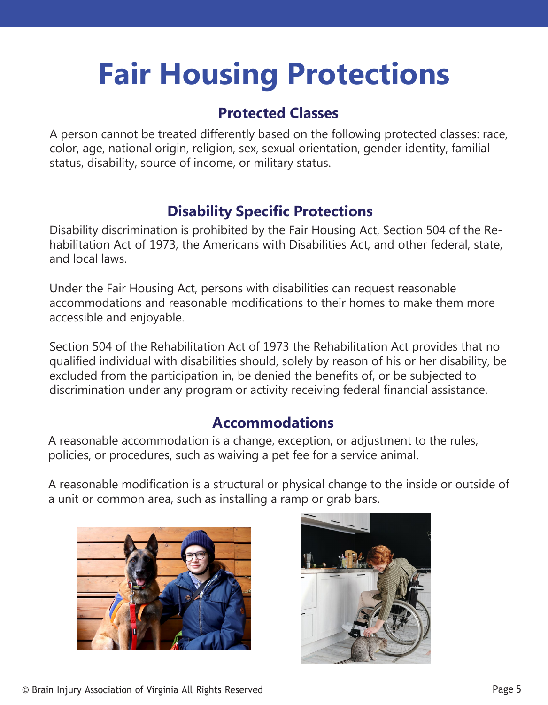## **Fair Housing Protections**

### **Protected Classes**

A person cannot be treated differently based on the following protected classes: race, color, age, national origin, religion, sex, sexual orientation, gender identity, familial status, disability, source of income, or military status.

### **Disability Specific Protections**

Disability discrimination is prohibited by the Fair Housing Act, Section 504 of the Rehabilitation Act of 1973, the Americans with Disabilities Act, and other federal, state, and local laws.

Under the Fair Housing Act, persons with disabilities can request reasonable accommodations and reasonable modifications to their homes to make them more accessible and enjoyable.

Section 504 of the Rehabilitation Act of 1973 the Rehabilitation Act provides that no qualified individual with disabilities should, solely by reason of his or her disability, be excluded from the participation in, be denied the benefits of, or be subjected to discrimination under any program or activity receiving federal financial assistance.

### **Accommodations**

A reasonable accommodation is a change, exception, or adjustment to the rules, policies, or procedures, such as waiving a pet fee for a service animal.

A reasonable modification is a structural or physical change to the inside or outside of a unit or common area, such as installing a ramp or grab bars.



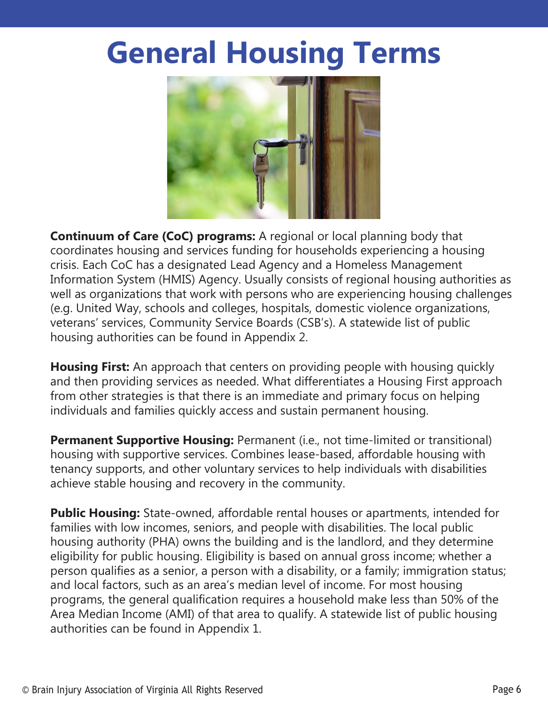## **General Housing Terms**



**Continuum of Care (CoC) programs:** A regional or local planning body that coordinates housing and services funding for households experiencing a housing crisis. Each CoC has a designated Lead Agency and a Homeless Management Information System (HMIS) Agency. Usually consists of regional housing authorities as well as organizations that work with persons who are experiencing housing challenges (e.g. United Way, schools and colleges, hospitals, domestic violence organizations, veterans' services, Community Service Boards (CSB's). A statewide list of public housing authorities can be found in Appendix 2.

**Housing First:** An approach that centers on providing people with housing quickly and then providing services as needed. What differentiates a Housing First approach from other strategies is that there is an immediate and primary focus on helping individuals and families quickly access and sustain permanent housing.

**Permanent Supportive Housing:** Permanent (i.e., not time-limited or transitional) housing with supportive services. Combines lease-based, affordable housing with tenancy supports, and other voluntary services to help individuals with disabilities achieve stable housing and recovery in the community.

**Public Housing:** State-owned, affordable rental houses or apartments, intended for families with low incomes, seniors, and people with disabilities. The local public housing authority (PHA) owns the building and is the landlord, and they determine eligibility for public housing. Eligibility is based on annual gross income; whether a person qualifies as a senior, a person with a disability, or a family; immigration status; and local factors, such as an area's median level of income. For most housing programs, the general qualification requires a household make less than 50% of the Area Median Income (AMI) of that area to qualify. A statewide list of public housing authorities can be found in Appendix 1.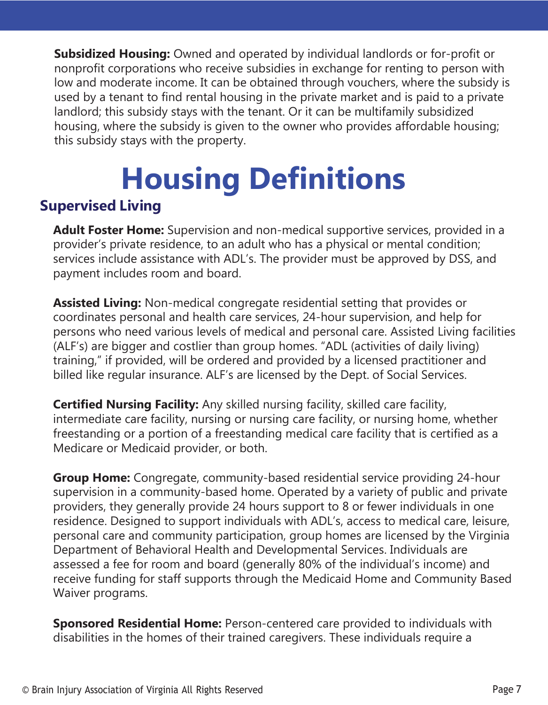**Subsidized Housing:** Owned and operated by individual landlords or for-profit or nonprofit corporations who receive subsidies in exchange for renting to person with low and moderate income. It can be obtained through vouchers, where the subsidy is used by a tenant to find rental housing in the private market and is paid to a private landlord; this subsidy stays with the tenant. Or it can be multifamily subsidized housing, where the subsidy is given to the owner who provides affordable housing; this subsidy stays with the property.

# **Housing Definitions**

### **Supervised Living**

**Adult Foster Home:** Supervision and non-medical supportive services, provided in a provider's private residence, to an adult who has a physical or mental condition; services include assistance with ADL's. The provider must be approved by DSS, and payment includes room and board.

**Assisted Living:** Non-medical congregate residential setting that provides or coordinates personal and health care services, 24-hour supervision, and help for persons who need various levels of medical and personal care. Assisted Living facilities (ALF's) are bigger and costlier than group homes. "ADL (activities of daily living) training," if provided, will be ordered and provided by a licensed practitioner and billed like regular insurance. ALF's are licensed by the Dept. of Social Services.

**Certified Nursing Facility:** Any skilled nursing facility, skilled care facility, intermediate care facility, nursing or nursing care facility, or nursing home, whether freestanding or a portion of a freestanding medical care facility that is certified as a Medicare or Medicaid provider, or both.

**Group Home:** Congregate, community-based residential service providing 24-hour supervision in a community-based home. Operated by a variety of public and private providers, they generally provide 24 hours support to 8 or fewer individuals in one residence. Designed to support individuals with ADL's, access to medical care, leisure, personal care and community participation, group homes are licensed by the Virginia Department of Behavioral Health and Developmental Services. Individuals are assessed a fee for room and board (generally 80% of the individual's income) and receive funding for staff supports through the Medicaid Home and Community Based Waiver programs.

**Sponsored Residential Home:** Person-centered care provided to individuals with disabilities in the homes of their trained caregivers. These individuals require a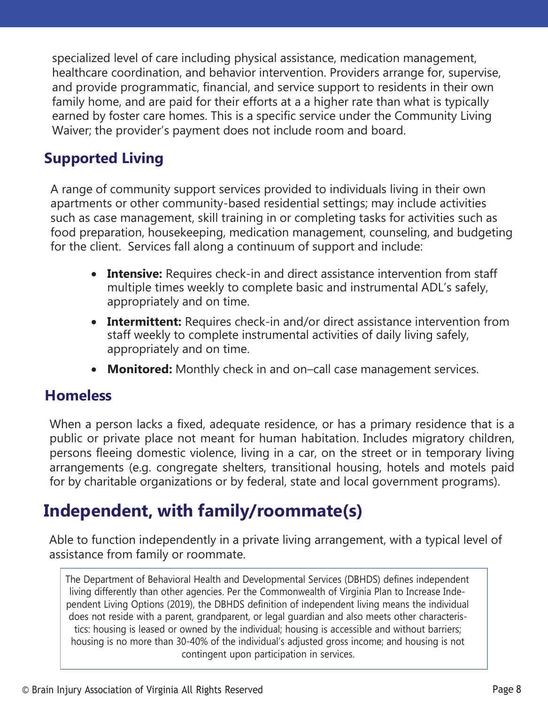specialized level of care including physical assistance, medication management, healthcare coordination, and behavior intervention. Providers arrange for, supervise, and provide programmatic, financial, and service support to residents in their own family home, and are paid for their efforts at a a higher rate than what is typically earned by foster care homes. This is a specific service under the Community Living Waiver; the provider's payment does not include room and board.

## **Supported Living**

A range of community support services provided to individuals living in their own apartments or other community-based residential settings; may include activities such as case management, skill training in or completing tasks for activities such as food preparation, housekeeping, medication management, counseling, and budgeting for the client. Services fall along a continuum of support and include:

- **Intensive:** Requires check-in and direct assistance intervention from staff multiple times weekly to complete basic and instrumental ADL's safely, appropriately and on time.
- **Intermittent:** Requires check-in and/or direct assistance intervention from staff weekly to complete instrumental activities of daily living safely, appropriately and on time.
- **Monitored:** Monthly check in and on–call case management services.

#### **Homeless**

When a person lacks a fixed, adequate residence, or has a primary residence that is a public or private place not meant for human habitation. Includes migratory children, persons fleeing domestic violence, living in a car, on the street or in temporary living arrangements (e.g. congregate shelters, transitional housing, hotels and motels paid for by charitable organizations or by federal, state and local government programs).

## **Independent, with family/roommate(s)**

Able to function independently in a private living arrangement, with a typical level of assistance from family or roommate.

The Department of Behavioral Health and Developmental Services (DBHDS) defines independent living differently than other agencies. Per the Commonwealth of Virginia Plan to Increase Independent Living Options (2019), the DBHDS definition of independent living means the individual does not reside with a parent, grandparent, or legal guardian and also meets other characteristics: housing is leased or owned by the individual; housing is accessible and without barriers; housing is no more than 30-40% of the individual's adjusted gross income; and housing is not contingent upon participation in services.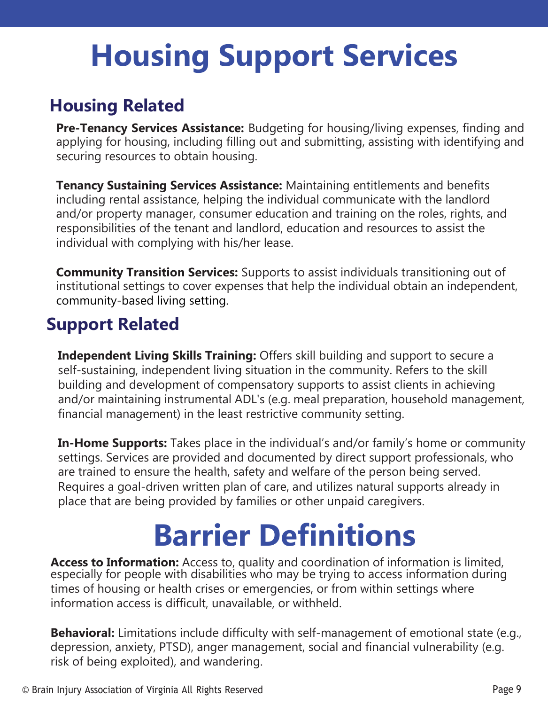## **Housing Support Services**

## **Housing Related**

**Pre-Tenancy Services Assistance:** Budgeting for housing/living expenses, finding and applying for housing, including filling out and submitting, assisting with identifying and securing resources to obtain housing.

**Tenancy Sustaining Services Assistance:** Maintaining entitlements and benefits including rental assistance, helping the individual communicate with the landlord and/or property manager, consumer education and training on the roles, rights, and responsibilities of the tenant and landlord, education and resources to assist the individual with complying with his/her lease.

**Community Transition Services:** Supports to assist individuals transitioning out of institutional settings to cover expenses that help the individual obtain an independent, community-based living setting.

## **Support Related**

**Independent Living Skills Training:** Offers skill building and support to secure a self-sustaining, independent living situation in the community. Refers to the skill building and development of compensatory supports to assist clients in achieving and/or maintaining instrumental ADL's (e.g. meal preparation, household management, financial management) in the least restrictive community setting.

**In-Home Supports:** Takes place in the individual's and/or family's home or community settings. Services are provided and documented by direct support professionals, who are trained to ensure the health, safety and welfare of the person being served. Requires a goal-driven written plan of care, and utilizes natural supports already in place that are being provided by families or other unpaid caregivers.

## **Barrier Definitions**

**Access to Information:** Access to, quality and coordination of information is limited, especially for people with disabilities who may be trying to access information during times of housing or health crises or emergencies, or from within settings where information access is difficult, unavailable, or withheld.

**Behavioral:** Limitations include difficulty with self-management of emotional state (e.g., depression, anxiety, PTSD), anger management, social and financial vulnerability (e.g. risk of being exploited), and wandering.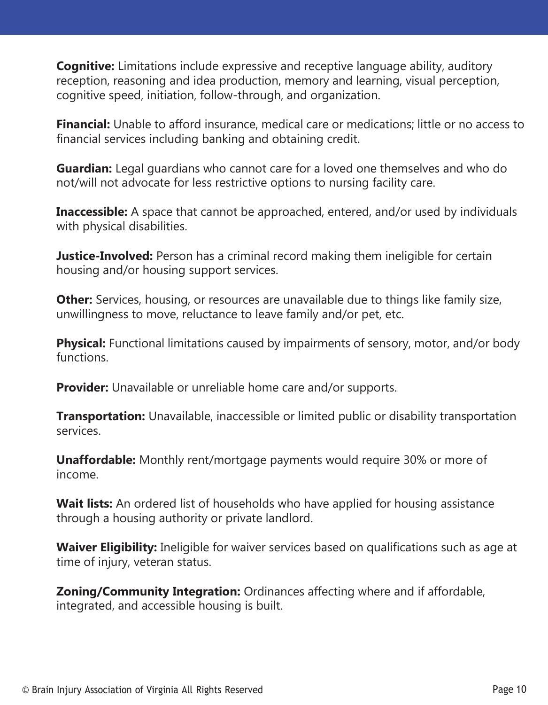**Cognitive:** Limitations include expressive and receptive language ability, auditory reception, reasoning and idea production, memory and learning, visual perception, cognitive speed, initiation, follow-through, and organization.

**Financial:** Unable to afford insurance, medical care or medications; little or no access to financial services including banking and obtaining credit.

**Guardian:** Legal guardians who cannot care for a loved one themselves and who do not/will not advocate for less restrictive options to nursing facility care.

**Inaccessible:** A space that cannot be approached, entered, and/or used by individuals with physical disabilities.

**Justice-Involved:** Person has a criminal record making them ineligible for certain housing and/or housing support services.

**Other:** Services, housing, or resources are unavailable due to things like family size, unwillingness to move, reluctance to leave family and/or pet, etc.

**Physical:** Functional limitations caused by impairments of sensory, motor, and/or body functions.

**Provider:** Unavailable or unreliable home care and/or supports.

**Transportation:** Unavailable, inaccessible or limited public or disability transportation services.

**Unaffordable:** Monthly rent/mortgage payments would require 30% or more of income.

**Wait lists:** An ordered list of households who have applied for housing assistance through a housing authority or private landlord.

**Waiver Eligibility:** Ineligible for waiver services based on qualifications such as age at time of injury, veteran status.

**Zoning/Community Integration:** Ordinances affecting where and if affordable, integrated, and accessible housing is built.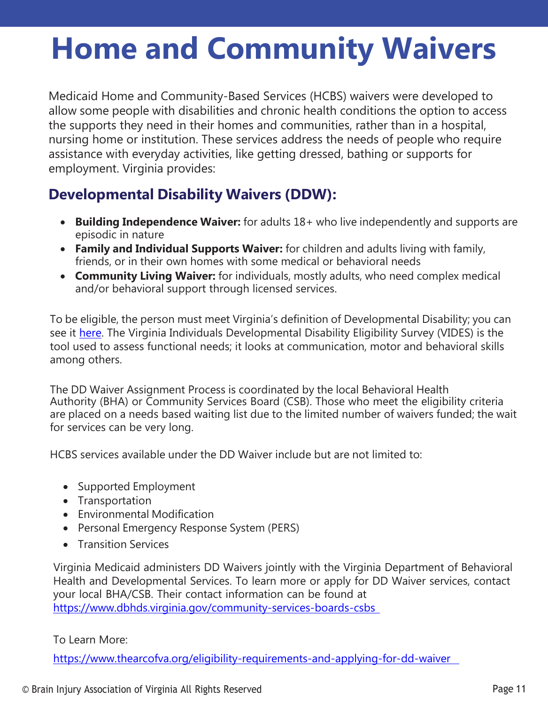## **Home and Community Waivers**

Medicaid Home and Community-Based Services (HCBS) waivers were developed to allow some people with disabilities and chronic health conditions the option to access the supports they need in their homes and communities, rather than in a hospital, nursing home or institution. These services address the needs of people who require assistance with everyday activities, like getting dressed, bathing or supports for employment. Virginia provides:

## **Developmental Disability Waivers (DDW):**

- **Building Independence Waiver:** for adults 18+ who live independently and supports are episodic in nature
- **Family and Individual Supports Waiver:** for children and adults living with family, friends, or in their own homes with some medical or behavioral needs
- **Community Living Waiver:** for individuals, mostly adults, who need complex medical and/or behavioral support through licensed services.

To be eligible, the person must meet Virginia's definition of Developmental Disability; you can see it [here.](https://law.lis.virginia.gov/admincode/title12/agency35/chapter230/section10/) The Virginia Individuals Developmental Disability Eligibility Survey (VIDES) is the tool used to assess functional needs; it looks at communication, motor and behavioral skills among others.

The DD Waiver Assignment Process is coordinated by the local Behavioral Health Authority (BHA) or Community Services Board (CSB). Those who meet the eligibility criteria are placed on a needs based waiting list due to the limited number of waivers funded; the wait for services can be very long.

HCBS services available under the DD Waiver include but are not limited to:

- Supported Employment
- Transportation
- Environmental Modification
- Personal Emergency Response System (PERS)
- Transition Services

Virginia Medicaid administers DD Waivers jointly with the Virginia Department of Behavioral Health and Developmental Services. To learn more or apply for DD Waiver services, contact your local BHA/CSB. Their contact information can be found at <https://www.dbhds.virginia.gov/community-services-boards-csbs>

#### To Learn More:

https[://www.thearcofva.org/eligibility-requirements-and-applying-for-dd-waiver](http://www.thearcofva.org/eligibility-requirements-and-applying-for-dd-waiver)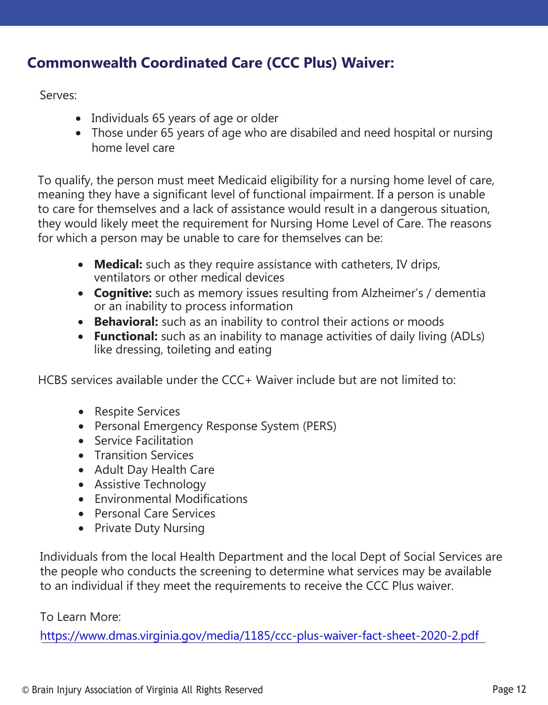### **Commonwealth Coordinated Care (CCC Plus) Waiver:**

Serves:

- Individuals 65 years of age or older
- Those under 65 years of age who are disabiled and need hospital or nursing home level care

To qualify, the person must meet Medicaid eligibility for a nursing home level of care, meaning they have a significant level of functional impairment. If a person is unable to care for themselves and a lack of assistance would result in a dangerous situation, they would likely meet the requirement for Nursing Home Level of Care. The reasons for which a person may be unable to care for themselves can be:

- **Medical:** such as they require assistance with catheters, IV drips, ventilators or other medical devices
- **Cognitive:** such as memory issues resulting from Alzheimer's / dementia or an inability to process information
- **Behavioral:** such as an inability to control their actions or moods
- **Functional:** such as an inability to manage activities of daily living (ADLs) like dressing, toileting and eating

HCBS services available under the CCC+ Waiver include but are not limited to:

- Respite Services
- Personal Emergency Response System (PERS)
- Service Facilitation
- Transition Services
- Adult Day Health Care
- Assistive Technology
- Environmental Modifications
- Personal Care Services
- Private Duty Nursing

Individuals from the local Health Department and the local Dept of Social Services are the people who conducts the screening to determine what services may be available to an individual [if they meet the requirements to receive the](http://www.dmas.virginia.gov/media/1185/ccc-plus-waiver-fact-sheet-2020-2.pdf) CCC Plus waiver.

#### To Learn More:

https://www.dmas.virginia.gov/media/1185/ccc-plus-waiver-fact-sheet-2020-2.pdf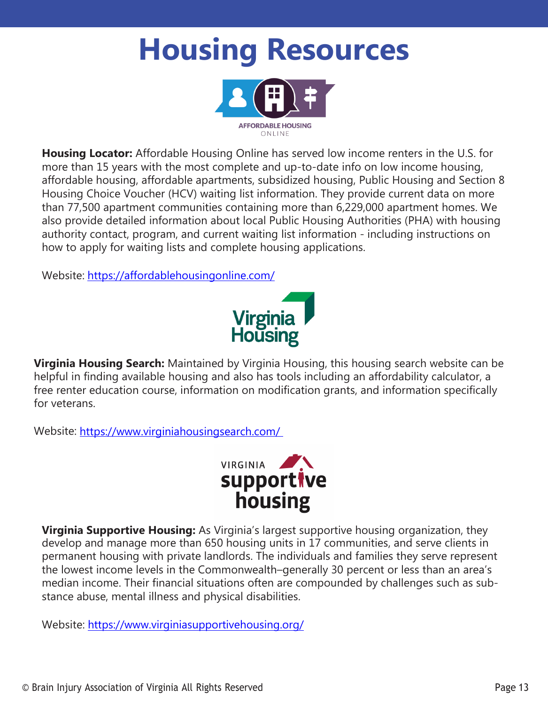## **Housing Resources**



**Housing Locator:** Affordable Housing Online has served low income renters in the U.S. for more than 15 years with the most complete and up-to-date info on low income housing, affordable housing, affordable apartments, subsidized housing, Public Housing and Section 8 Housing Choice Voucher (HCV) waiting list information. They provide current data on more than 77,500 apartment communities containing more than 6,229,000 apartment homes. We also provide detailed information about local Public Housing Authorities (PHA) with housing authority contact, program, and current waiting list information - including instructions on how to apply for waiting lists and complete housing applications.

Website: <https://affordablehousingonline.com/>



**Virginia Housing Search:** Maintained by Virginia Housing, this housing search website can be helpful in finding available housing and also has tools including an affordability calculator, a free renter education course, information on modification grants, and information specifically for veterans.

Website: [https://www.virginiahousingsearch.com/](http://www.virginiahousingsearch.com/)



**Virginia Supportive Housing:** As Virginia's largest supportive housing organization, they develop and manage more than 650 housing units in 17 communities, and serve clients in permanent housing with private landlords. The individuals and families they serve represent the lowest income levels in the Commonwealth–generally 30 percent or less than an area's median income. Their financial situations often are compounded by challenges such as substance abuse, mental illness and physical disabilities.

Website: [https://www.virginiasupportivehousing.org/](http://www.virginiasupportivehousing.org/)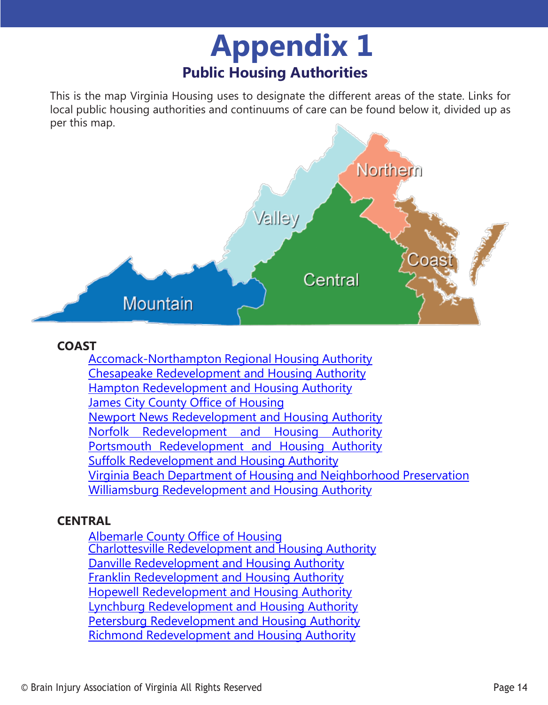## **Publ ic H ou sin g Au th o ritie s Appendix 1**

This is the map Virginia Housing uses to designate the different areas of the state. Links for local public housing authorities and continuums of care can be found below it, divided up as per this map.



#### **COAST**

[Accomack-Northampton](http://www.a-npdc.org/accomack-northampton-regional-housing-authority/) Regional Housing Authority [Chesapeake Redevelopment and Housing Authority](https://www.crhava.org/) [Hampton Redevelopment and Housing Authority](http://www.hamptonrha.com/) James City County [Office of](https://jamescitycountyva.gov/237/Housing) Housing [Newport News Redevelopment and Housing Authority](http://www.nnrha.com/) [Norfolk Redevelopment and Housing Authority](http://www.nrha.us/) [Portsmouth Redevelopment and Housing Authority](https://www.prha.org/) Suffolk [Redevelopment](https://www.suffolkrha.org/) and Housing Authority Virginia Beach Department of Housing and [Neighborhood](https://www.vbgov.com/government/departments/housing-neighborhood-preservation/Pages/default.aspx) Preservation Williamsburg Redevelopment and [Housing Authority](https://www.williamsburgva.gov/356/Williamsburg-Redevelopment-Housing-Autho)

#### **CENTRAL**

[Albemarle](https://www.albemarle.org/government/social-services/housing) County Office of Housing Charlottesville [Redevelopment](http://www.cvillerha.com/) and Housing Authority [Danville Redevelopment and Housing Authority](http://www.drhava.com/) [Franklin Redevelopment and Housing Authority](https://www.franklinva.org/) [Hopewell Redevelopment and Housing Authority](https://hopewellrha.org/) [Lynchburg Redevelopment and Housing Authority](https://www.lynchburghousing.org/) [Petersburg Redevelopment and Housing Authority](http://www.petersburgrha.org/) Richmond [Redevelopment](https://www.rrha.com/) and Housing Authority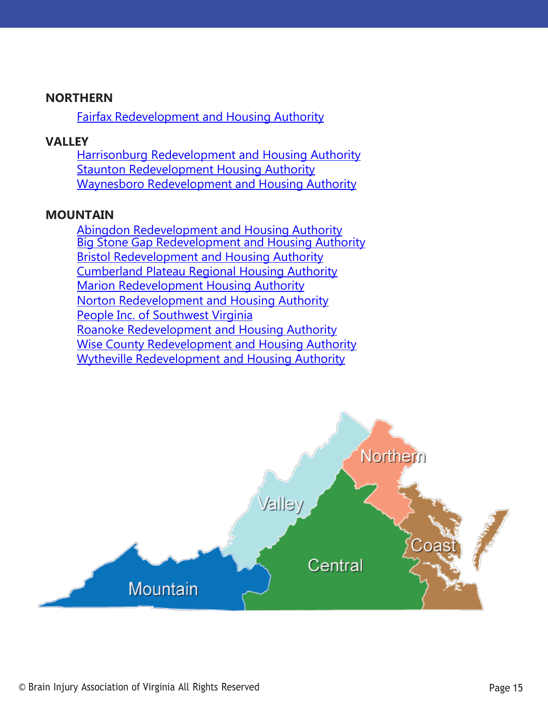#### **NORTHERN**

Fairfax [Redevelopment](https://www.fairfaxcounty.gov/housing/) and Housing Authority

#### **VALLEY**

[Harrisonburg Redevelopment and Housing Authority](https://harrisonburgrha.com/) **[Staunton Redevelopment Housing Authority](http://stauntonrha.org/)** Waynesboro [Redevelopment](http://www.wrha.org/) and Housing Authority

#### **MOUNTAIN**

Abingdon [Redevelopment](http://www.abingdonhousingauthority.com/inicio.html) and Housing Authority Big Stone Gap [Redevelopment and](http://www.bsgha.org/) Housing Authority [Bristol Redevelopment and Housing Authority](http://www.brha.com/) [Cumberland Plateau Regional Housing Authority](http://www.cprha.org/) Marion Redevelopment [Housing Authority](http://marionrha.com/) [Norton Redevelopment and Housing Authority](https://nortonrha.org/) People Inc. of [Southwest](http://www.peopleinc.net/) Virginia [Roanoke Redevelopment and Housing Authority](http://rkehousing.org/) Wise County [Redevelopment](http://www.wcrha.org/) and Housing Authority Wytheville [Redevelopment](http://www.thewrha.com/) and Housing Authority

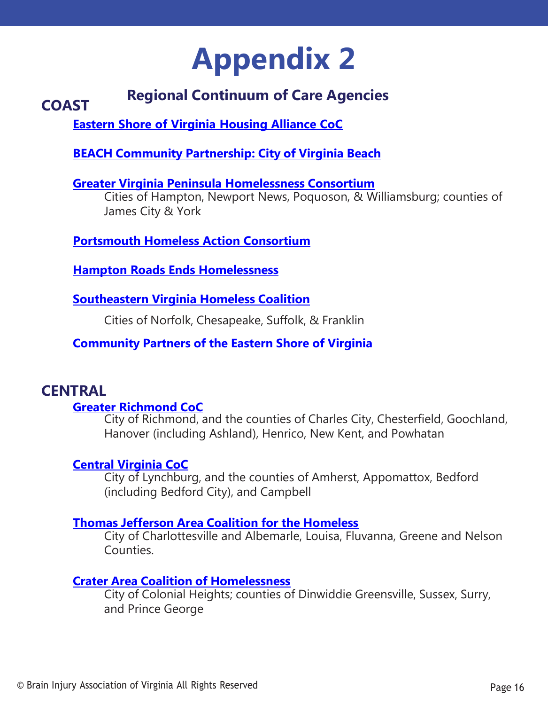## **Appendix 2**

#### **COAST Regional Continuum of Care Agencies**

**Eastern Shore of Virginia Housing [Alliance CoC](http://a-npdc.org/eastern-shore-of-virginia-housing-alliance/virginia-homeless-solutions-program/)**

**BEACH Community Partnership: City of [Virginia Beach](http://www.beach-cp.org/home)**

**Greater Virginia Peninsula [Homelessness](https://www.hamptonroadsendshomelessness.org/gvphc.html) Consortium**

Cities of Hampton, Newport News, Poquoson, & Williamsburg; counties of James City & York

**[Portsmouth Homeless Action Consortium](https://www.hamptonroadsendshomelessness.org/phac.html)**

**[Hampton Roads Ends Homelessness](https://www.hamptonroadsendshomelessness.org/)**

**[Southeastern](https://www.cityofchesapeake.net/government/city-departments/departments/human-services/community-programs/outreach/homelessness/southeastern-virginia-homeless-coalition.htm) Virginia Homeless Coalition**

Cities of Norfolk, Chesapeake, Suffolk, & Franklin

**[Community](https://cpesva.org/) Partners of the Eastern Shore of Virginia**

### **CENTRAL**

#### **[Greater Richmond CoC](http://endhomelessnessrva.org/)**

City of Richmond, and the counties of Charles City, Chesterfield, Goochland, Hanover (including Ashland), Henrico, New Kent, and Powhatan

#### **[Central Virginia CoC](https://centralvirginiacoc.org/)**

City of Lynchburg, and the counties of Amherst, Appomattox, Bedford (including Bedford City), and Campbell

#### **Thomas Jefferson Area Coalition for the [Homeless](https://www.tjach.org/)**

City of Charlottesville and Albemarle, Louisa, Fluvanna, Greene and Nelson Counties.

#### **Crater Area Coalition of [Homelessness](https://cachcoc.org/)**

City of Colonial Heights; counties of Dinwiddie Greensville, Sussex, Surry, and Prince George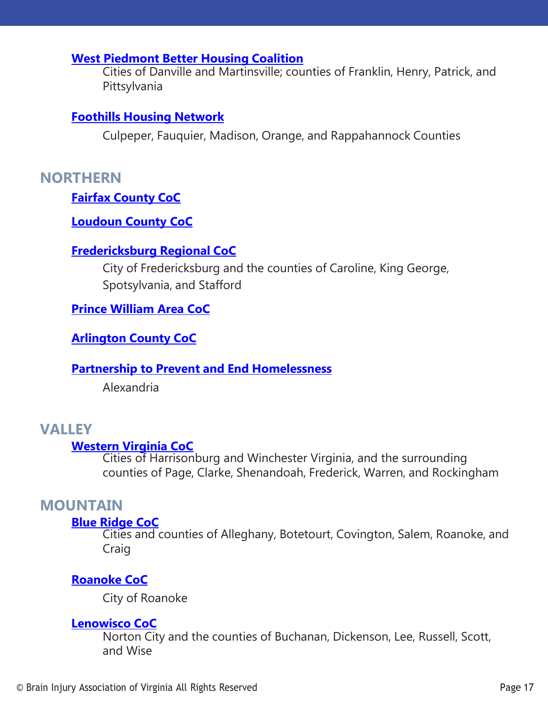#### **West [Piedmont](https://www.westpiedmontcontinuum.com/our-history) Better Housing Coalition**

Cities of Danville and Martinsville; counties of Franklin, Henry, Patrick, and Pittsylvania

#### **Foothills Housing [Network](https://www.foothillshousing.org/)**

Culpeper, Fauquier, Madison, Orange, and Rappahannock Counties

#### **NORTHERN**

#### **Fairfax [County](https://www.fairfaxcounty.gov/homeless/continuum-care) CoC**

#### **[Loudoun County CoC](https://www.loudoun.gov/1788/Continuum-of-Care)**

#### **[Fredericksburg](https://www.fredericksburgcoc.org/) Regional CoC**

City of Fredericksburg and the counties of Caroline, King George, Spotsylvania, and Stafford

#### **[Prince William Area CoC](https://www.pwcva.gov/department/social-services/about-continuum-care)**

#### **Arlington [County CoC](https://publicassistance.arlingtonva.us/actionplan-homelessness/continuum-care/)**

#### **Partnership to [Prevent and End](https://www.alexandriava.gov/dchs/info/default.aspx?id=76061#:%7E:text=The%20Partnership%20to%20Prevent%20and,in%20the%20City%20of%20Alexandria) Homelessness**

Alexandria

## **VALLEY**

Cities of Harrisonburg and Winchester Virginia, and the surrounding counties of Page, Clarke, Shenandoah, Frederick, Warren, and Rockingham

#### **MOUNTAIN**

#### **Blue [Ridge CoC](https://www.endhomelessnessblueridge.org/)**

Cities and counties of Alleghany, Botetourt, Covington, Salem, Roanoke, and Craig

#### **[Roanoke CoC](https://www.roanokeva.gov/342/Continuum-of-Care)**

City of Roanoke

#### **[Lenowisco CoC](https://www.family-crisis.com/)**

Norton City and the counties of Buchanan, Dickenson, Lee, Russell, Scott, and Wise